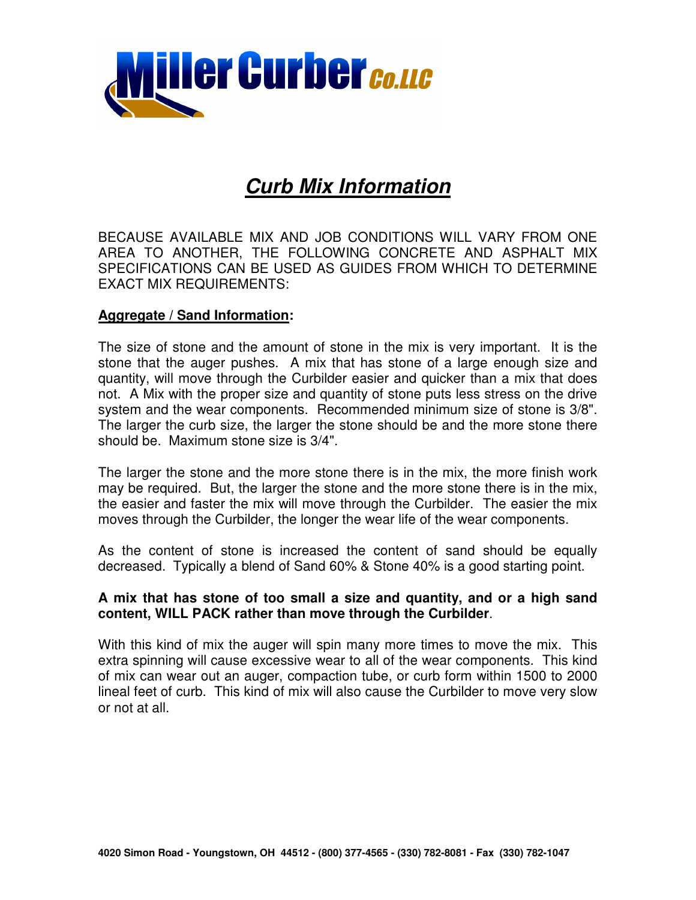

# **Curb Mix Information**

BECAUSE AVAILABLE MIX AND JOB CONDITIONS WILL VARY FROM ONE AREA TO ANOTHER, THE FOLLOWING CONCRETE AND ASPHALT MIX SPECIFICATIONS CAN BE USED AS GUIDES FROM WHICH TO DETERMINE EXACT MIX REQUIREMENTS:

#### **Aggregate / Sand Information:**

The size of stone and the amount of stone in the mix is very important. It is the stone that the auger pushes. A mix that has stone of a large enough size and quantity, will move through the Curbilder easier and quicker than a mix that does not. A Mix with the proper size and quantity of stone puts less stress on the drive system and the wear components. Recommended minimum size of stone is 3/8". The larger the curb size, the larger the stone should be and the more stone there should be. Maximum stone size is 3/4".

The larger the stone and the more stone there is in the mix, the more finish work may be required. But, the larger the stone and the more stone there is in the mix, the easier and faster the mix will move through the Curbilder. The easier the mix moves through the Curbilder, the longer the wear life of the wear components.

As the content of stone is increased the content of sand should be equally decreased. Typically a blend of Sand 60% & Stone 40% is a good starting point.

#### **A mix that has stone of too small a size and quantity, and or a high sand content, WILL PACK rather than move through the Curbilder**.

With this kind of mix the auger will spin many more times to move the mix. This extra spinning will cause excessive wear to all of the wear components. This kind of mix can wear out an auger, compaction tube, or curb form within 1500 to 2000 lineal feet of curb. This kind of mix will also cause the Curbilder to move very slow or not at all.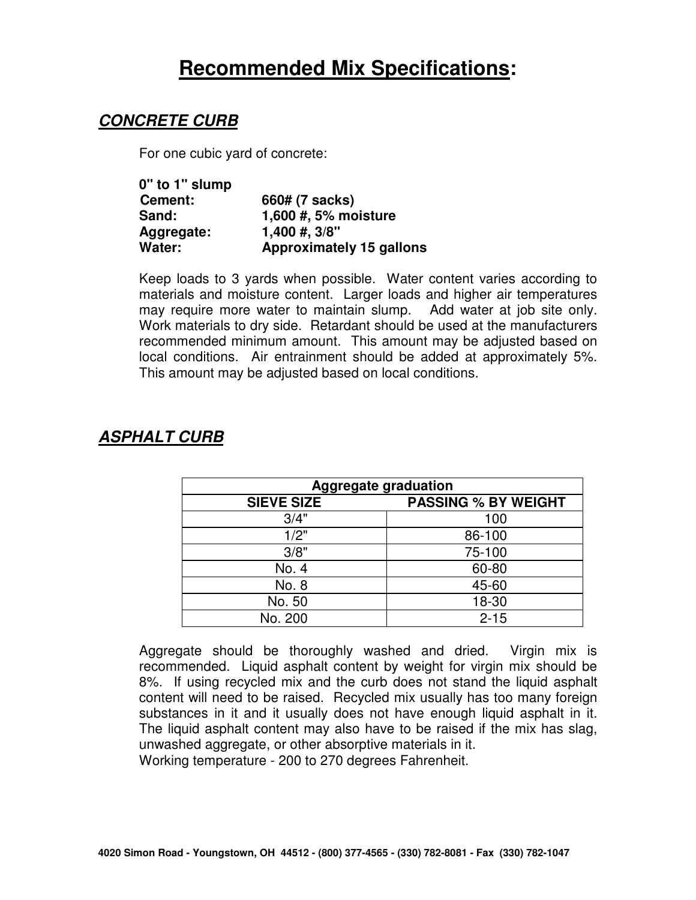# **Recommended Mix Specifications:**

## **CONCRETE CURB**

For one cubic yard of concrete:

| 0" to 1" slump |                                 |
|----------------|---------------------------------|
| Cement:        | 660# (7 sacks)                  |
| Sand:          | 1,600 #, 5% moisture            |
| Aggregate:     | $1,400 \#$ , $3/8$ "            |
| Water:         | <b>Approximately 15 gallons</b> |

Keep loads to 3 yards when possible. Water content varies according to materials and moisture content. Larger loads and higher air temperatures may require more water to maintain slump. Add water at job site only. Work materials to dry side. Retardant should be used at the manufacturers recommended minimum amount. This amount may be adjusted based on local conditions. Air entrainment should be added at approximately 5%. This amount may be adjusted based on local conditions.

| <b>Aggregate graduation</b> |                            |  |
|-----------------------------|----------------------------|--|
| <b>SIEVE SIZE</b>           | <b>PASSING % BY WEIGHT</b> |  |
| 3/4"                        | 100                        |  |
| 1/2"                        | 86-100                     |  |
| 3/8"                        | 75-100                     |  |
| No. 4                       | 60-80                      |  |
| No. 8                       | 45-60                      |  |
| No. 50                      | 18-30                      |  |
| No. 200                     | $2 - 15$                   |  |

# **ASPHALT CURB**

Aggregate should be thoroughly washed and dried. Virgin mix is recommended. Liquid asphalt content by weight for virgin mix should be 8%. If using recycled mix and the curb does not stand the liquid asphalt content will need to be raised. Recycled mix usually has too many foreign substances in it and it usually does not have enough liquid asphalt in it. The liquid asphalt content may also have to be raised if the mix has slag, unwashed aggregate, or other absorptive materials in it.

Working temperature - 200 to 270 degrees Fahrenheit.